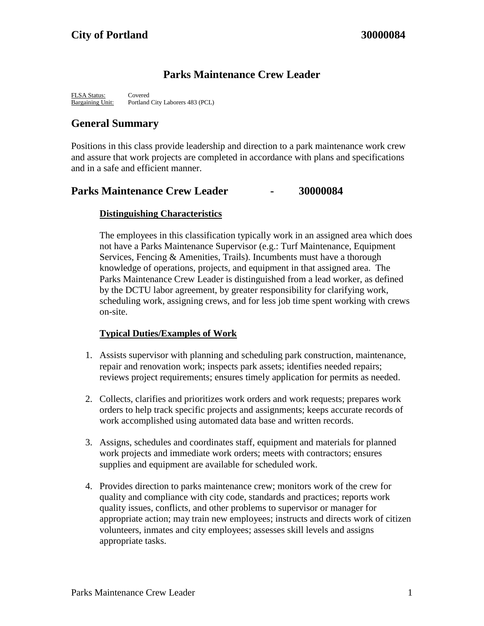# **Parks Maintenance Crew Leader**

FLSA Status: Covered Bargaining Unit: Portland City Laborers 483 (PCL)

# **General Summary**

Positions in this class provide leadership and direction to a park maintenance work crew and assure that work projects are completed in accordance with plans and specifications and in a safe and efficient manner.

## **Parks Maintenance Crew Leader - 30000084**

### **Distinguishing Characteristics**

The employees in this classification typically work in an assigned area which does not have a Parks Maintenance Supervisor (e.g.: Turf Maintenance, Equipment Services, Fencing & Amenities, Trails). Incumbents must have a thorough knowledge of operations, projects, and equipment in that assigned area. The Parks Maintenance Crew Leader is distinguished from a lead worker, as defined by the DCTU labor agreement, by greater responsibility for clarifying work, scheduling work, assigning crews, and for less job time spent working with crews on-site.

### **Typical Duties/Examples of Work**

- 1. Assists supervisor with planning and scheduling park construction, maintenance, repair and renovation work; inspects park assets; identifies needed repairs; reviews project requirements; ensures timely application for permits as needed.
- 2. Collects, clarifies and prioritizes work orders and work requests; prepares work orders to help track specific projects and assignments; keeps accurate records of work accomplished using automated data base and written records.
- 3. Assigns, schedules and coordinates staff, equipment and materials for planned work projects and immediate work orders; meets with contractors; ensures supplies and equipment are available for scheduled work.
- 4. Provides direction to parks maintenance crew; monitors work of the crew for quality and compliance with city code, standards and practices; reports work quality issues, conflicts, and other problems to supervisor or manager for appropriate action; may train new employees; instructs and directs work of citizen volunteers, inmates and city employees; assesses skill levels and assigns appropriate tasks.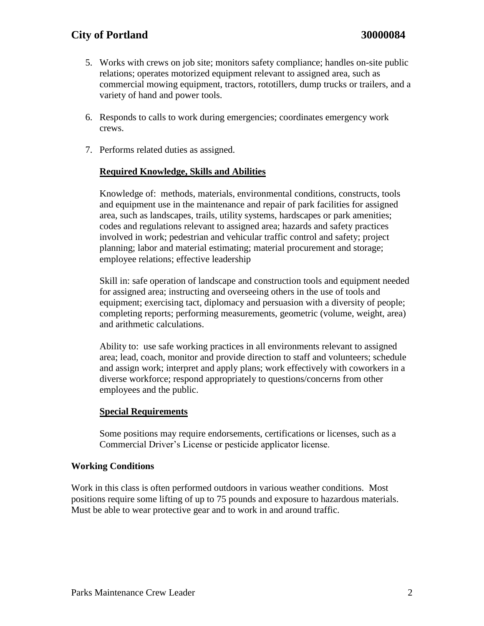## **City of Portland 30000084**

- 5. Works with crews on job site; monitors safety compliance; handles on-site public relations; operates motorized equipment relevant to assigned area, such as commercial mowing equipment, tractors, rototillers, dump trucks or trailers, and a variety of hand and power tools.
- 6. Responds to calls to work during emergencies; coordinates emergency work crews.
- 7. Performs related duties as assigned.

#### **Required Knowledge, Skills and Abilities**

Knowledge of: methods, materials, environmental conditions, constructs, tools and equipment use in the maintenance and repair of park facilities for assigned area, such as landscapes, trails, utility systems, hardscapes or park amenities; codes and regulations relevant to assigned area; hazards and safety practices involved in work; pedestrian and vehicular traffic control and safety; project planning; labor and material estimating; material procurement and storage; employee relations; effective leadership

Skill in: safe operation of landscape and construction tools and equipment needed for assigned area; instructing and overseeing others in the use of tools and equipment; exercising tact, diplomacy and persuasion with a diversity of people; completing reports; performing measurements, geometric (volume, weight, area) and arithmetic calculations.

Ability to: use safe working practices in all environments relevant to assigned area; lead, coach, monitor and provide direction to staff and volunteers; schedule and assign work; interpret and apply plans; work effectively with coworkers in a diverse workforce; respond appropriately to questions/concerns from other employees and the public.

#### **Special Requirements**

Some positions may require endorsements, certifications or licenses, such as a Commercial Driver's License or pesticide applicator license.

#### **Working Conditions**

Work in this class is often performed outdoors in various weather conditions. Most positions require some lifting of up to 75 pounds and exposure to hazardous materials. Must be able to wear protective gear and to work in and around traffic.